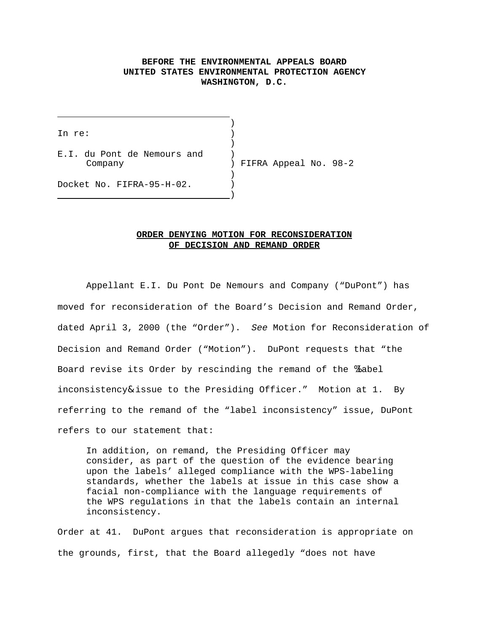## **BEFORE THE ENVIRONMENTAL APPEALS BOARD UNITED STATES ENVIRONMENTAL PROTECTION AGENCY WASHINGTON, D.C.**

)

)

)

In re:

j.

E.I. du Pont de Nemours and ) Company ) FIFRA Appeal No. 98-2

Docket No. FIFRA-95-H-02.

 $\overline{\phantom{a}}$ 

## **ORDER DENYING MOTION FOR RECONSIDERATION OF DECISION AND REMAND ORDER**

Appellant E.I. Du Pont De Nemours and Company ("DuPont") has moved for reconsideration of the Board's Decision and Remand Order, dated April 3, 2000 (the "Order"). *See* Motion for Reconsideration of Decision and Remand Order ("Motion"). DuPont requests that "the Board revise its Order by rescinding the remand of the %label inconsistency& issue to the Presiding Officer." Motion at 1. By referring to the remand of the "label inconsistency" issue, DuPont refers to our statement that:

In addition, on remand, the Presiding Officer may consider, as part of the question of the evidence bearing upon the labels' alleged compliance with the WPS-labeling standards, whether the labels at issue in this case show a facial non-compliance with the language requirements of the WPS regulations in that the labels contain an internal inconsistency.

Order at 41. DuPont argues that reconsideration is appropriate on the grounds, first, that the Board allegedly "does not have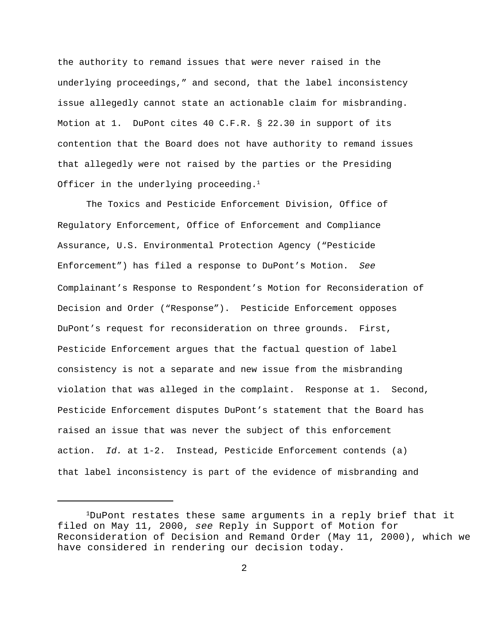the authority to remand issues that were never raised in the underlying proceedings," and second, that the label inconsistency issue allegedly cannot state an actionable claim for misbranding. Motion at 1. DuPont cites 40 C.F.R. § 22.30 in support of its contention that the Board does not have authority to remand issues that allegedly were not raised by the parties or the Presiding Officer in the underlying proceeding.<sup>1</sup>

The Toxics and Pesticide Enforcement Division, Office of Regulatory Enforcement, Office of Enforcement and Compliance Assurance, U.S. Environmental Protection Agency ("Pesticide Enforcement") has filed a response to DuPont's Motion. *See* Complainant's Response to Respondent's Motion for Reconsideration of Decision and Order ("Response"). Pesticide Enforcement opposes DuPont's request for reconsideration on three grounds. First, Pesticide Enforcement argues that the factual question of label consistency is not a separate and new issue from the misbranding violation that was alleged in the complaint. Response at 1. Second, Pesticide Enforcement disputes DuPont's statement that the Board has raised an issue that was never the subject of this enforcement action. *Id.* at 1-2. Instead, Pesticide Enforcement contends (a) that label inconsistency is part of the evidence of misbranding and

<sup>1</sup>DuPont restates these same arguments in a reply brief that it filed on May 11, 2000, *see* Reply in Support of Motion for Reconsideration of Decision and Remand Order (May 11, 2000), which we have considered in rendering our decision today.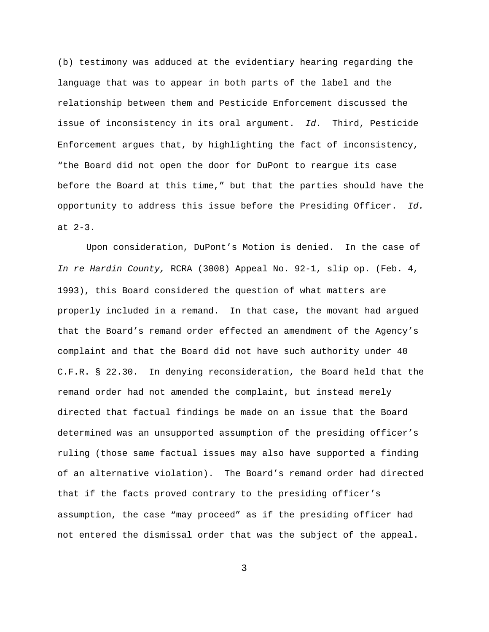(b) testimony was adduced at the evidentiary hearing regarding the language that was to appear in both parts of the label and the relationship between them and Pesticide Enforcement discussed the issue of inconsistency in its oral argument. *Id.* Third, Pesticide Enforcement argues that, by highlighting the fact of inconsistency, "the Board did not open the door for DuPont to reargue its case before the Board at this time," but that the parties should have the opportunity to address this issue before the Presiding Officer. *Id.* at 2-3.

Upon consideration, DuPont's Motion is denied. In the case of *In re Hardin County,* RCRA (3008) Appeal No. 92-1, slip op. (Feb. 4, 1993), this Board considered the question of what matters are properly included in a remand. In that case, the movant had argued that the Board's remand order effected an amendment of the Agency's complaint and that the Board did not have such authority under 40 C.F.R. § 22.30. In denying reconsideration, the Board held that the remand order had not amended the complaint, but instead merely directed that factual findings be made on an issue that the Board determined was an unsupported assumption of the presiding officer's ruling (those same factual issues may also have supported a finding of an alternative violation). The Board's remand order had directed that if the facts proved contrary to the presiding officer's assumption, the case "may proceed" as if the presiding officer had not entered the dismissal order that was the subject of the appeal.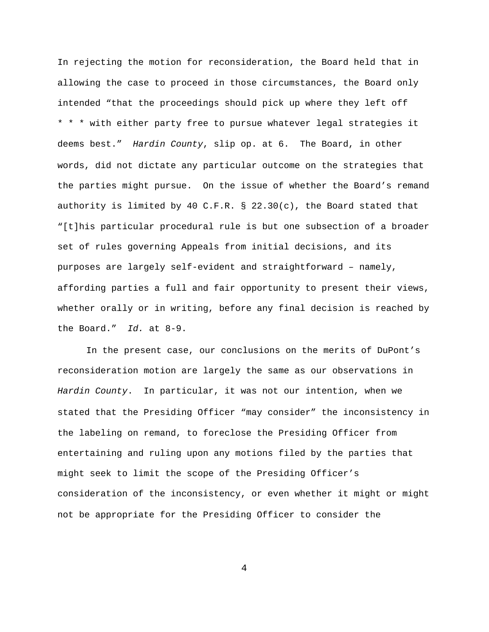In rejecting the motion for reconsideration, the Board held that in allowing the case to proceed in those circumstances, the Board only intended "that the proceedings should pick up where they left off \* \* \* with either party free to pursue whatever legal strategies it deems best." *Hardin County*, slip op. at 6. The Board, in other words, did not dictate any particular outcome on the strategies that the parties might pursue. On the issue of whether the Board's remand authority is limited by 40 C.F.R.  $\S$  22.30(c), the Board stated that "[t]his particular procedural rule is but one subsection of a broader set of rules governing Appeals from initial decisions, and its purposes are largely self-evident and straightforward – namely, affording parties a full and fair opportunity to present their views, whether orally or in writing, before any final decision is reached by the Board." *Id.* at 8-9.

In the present case, our conclusions on the merits of DuPont's reconsideration motion are largely the same as our observations in *Hardin County*. In particular, it was not our intention, when we stated that the Presiding Officer "may consider" the inconsistency in the labeling on remand, to foreclose the Presiding Officer from entertaining and ruling upon any motions filed by the parties that might seek to limit the scope of the Presiding Officer's consideration of the inconsistency, or even whether it might or might not be appropriate for the Presiding Officer to consider the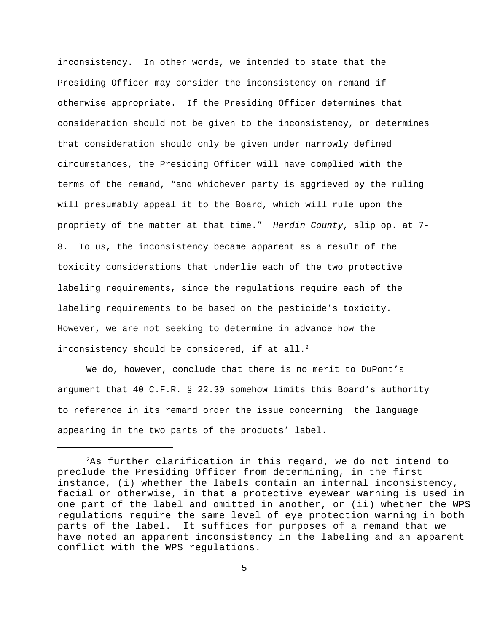inconsistency. In other words, we intended to state that the Presiding Officer may consider the inconsistency on remand if otherwise appropriate. If the Presiding Officer determines that consideration should not be given to the inconsistency, or determines that consideration should only be given under narrowly defined circumstances, the Presiding Officer will have complied with the terms of the remand, "and whichever party is aggrieved by the ruling will presumably appeal it to the Board, which will rule upon the propriety of the matter at that time." *Hardin County*, slip op. at 7- 8. To us, the inconsistency became apparent as a result of the toxicity considerations that underlie each of the two protective labeling requirements, since the regulations require each of the labeling requirements to be based on the pesticide's toxicity. However, we are not seeking to determine in advance how the inconsistency should be considered, if at all.<sup>2</sup>

We do, however, conclude that there is no merit to DuPont's argument that 40 C.F.R. § 22.30 somehow limits this Board's authority to reference in its remand order the issue concerning the language appearing in the two parts of the products' label.

 ${}^{2}$ As further clarification in this regard, we do not intend to preclude the Presiding Officer from determining, in the first instance, (i) whether the labels contain an internal inconsistency, facial or otherwise, in that a protective eyewear warning is used in one part of the label and omitted in another, or (ii) whether the WPS regulations require the same level of eye protection warning in both parts of the label. It suffices for purposes of a remand that we have noted an apparent inconsistency in the labeling and an apparent conflict with the WPS regulations.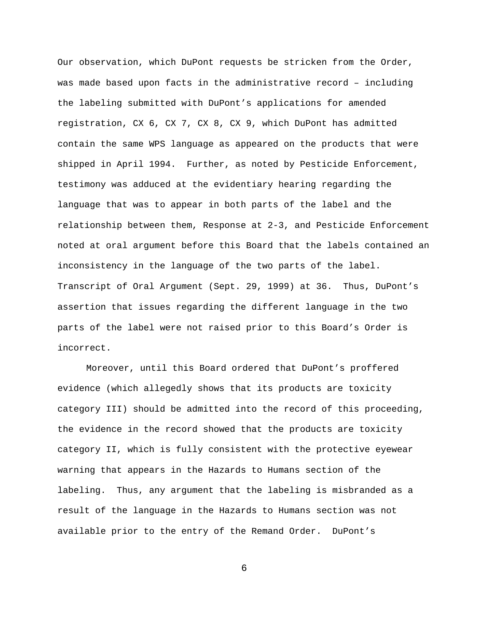Our observation, which DuPont requests be stricken from the Order, was made based upon facts in the administrative record – including the labeling submitted with DuPont's applications for amended registration, CX 6, CX 7, CX 8, CX 9, which DuPont has admitted contain the same WPS language as appeared on the products that were shipped in April 1994. Further, as noted by Pesticide Enforcement, testimony was adduced at the evidentiary hearing regarding the language that was to appear in both parts of the label and the relationship between them, Response at 2-3, and Pesticide Enforcement noted at oral argument before this Board that the labels contained an inconsistency in the language of the two parts of the label. Transcript of Oral Argument (Sept. 29, 1999) at 36. Thus, DuPont's assertion that issues regarding the different language in the two parts of the label were not raised prior to this Board's Order is incorrect.

Moreover, until this Board ordered that DuPont's proffered evidence (which allegedly shows that its products are toxicity category III) should be admitted into the record of this proceeding, the evidence in the record showed that the products are toxicity category II, which is fully consistent with the protective eyewear warning that appears in the Hazards to Humans section of the labeling. Thus, any argument that the labeling is misbranded as a result of the language in the Hazards to Humans section was not available prior to the entry of the Remand Order. DuPont's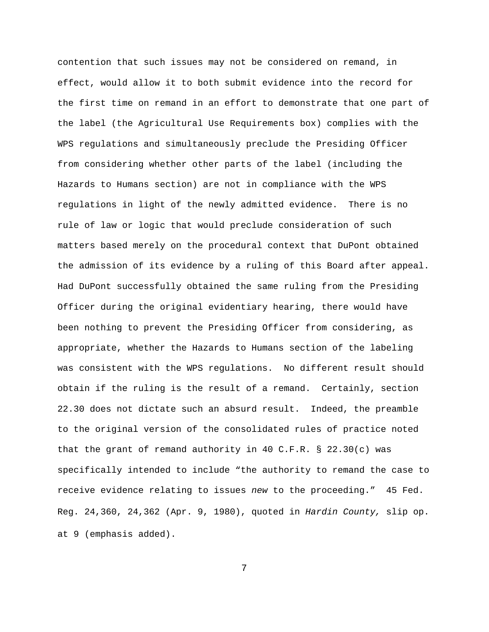contention that such issues may not be considered on remand, in effect, would allow it to both submit evidence into the record for the first time on remand in an effort to demonstrate that one part of the label (the Agricultural Use Requirements box) complies with the WPS regulations and simultaneously preclude the Presiding Officer from considering whether other parts of the label (including the Hazards to Humans section) are not in compliance with the WPS regulations in light of the newly admitted evidence. There is no rule of law or logic that would preclude consideration of such matters based merely on the procedural context that DuPont obtained the admission of its evidence by a ruling of this Board after appeal. Had DuPont successfully obtained the same ruling from the Presiding Officer during the original evidentiary hearing, there would have been nothing to prevent the Presiding Officer from considering, as appropriate, whether the Hazards to Humans section of the labeling was consistent with the WPS regulations. No different result should obtain if the ruling is the result of a remand. Certainly, section 22.30 does not dictate such an absurd result. Indeed, the preamble to the original version of the consolidated rules of practice noted that the grant of remand authority in 40 C.F.R. § 22.30(c) was specifically intended to include "the authority to remand the case to receive evidence relating to issues *new* to the proceeding." 45 Fed. Reg. 24,360, 24,362 (Apr. 9, 1980), quoted in *Hardin County,* slip op. at 9 (emphasis added).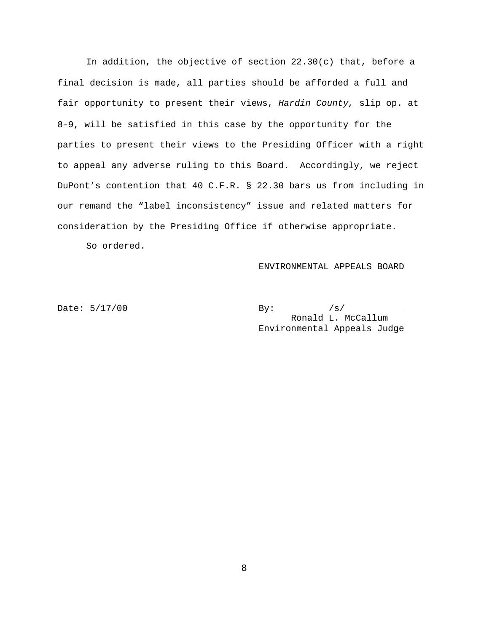In addition, the objective of section 22.30(c) that, before a final decision is made, all parties should be afforded a full and fair opportunity to present their views, *Hardin County,* slip op. at 8-9, will be satisfied in this case by the opportunity for the parties to present their views to the Presiding Officer with a right to appeal any adverse ruling to this Board. Accordingly, we reject DuPont's contention that 40 C.F.R. § 22.30 bars us from including in our remand the "label inconsistency" issue and related matters for consideration by the Presiding Office if otherwise appropriate.

So ordered.

## ENVIRONMENTAL APPEALS BOARD

Date: 5/17/00 By: By: /s/ Ronald L. McCallum Environmental Appeals Judge